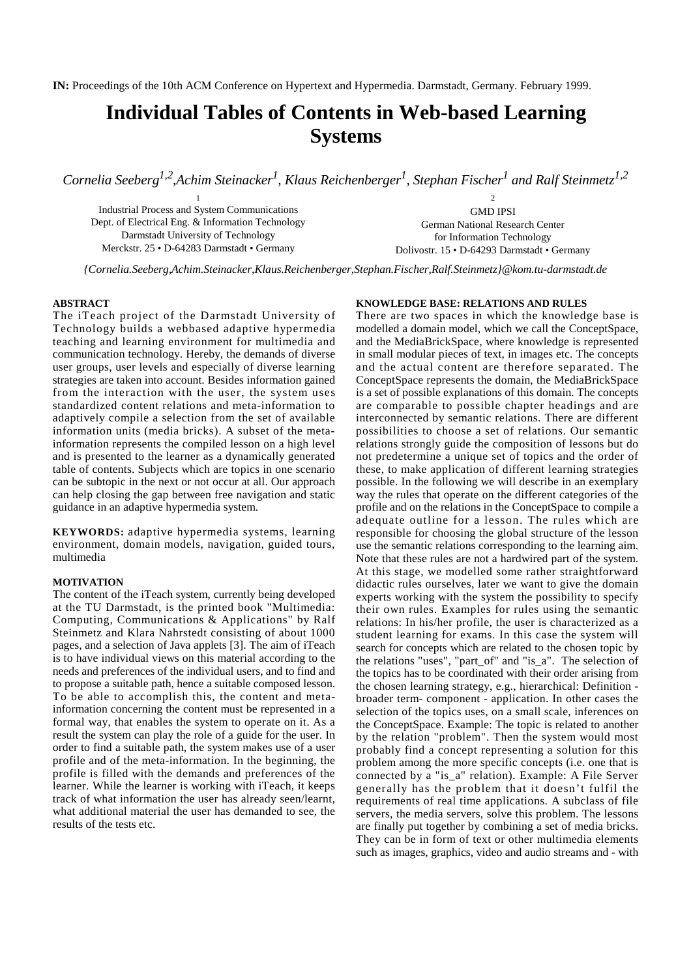# **Individual Tables of Contents in Web-based Learning Systems**

*Cornelia Seeberg1,2,Achim Steinacker<sup>1</sup> , Klaus Reichenberger<sup>1</sup> , Stephan Fischer<sup>1</sup> and Ralf Steinmetz1,2*

1 Industrial Process and System Communications Dept. of Electrical Eng. & Information Technology Darmstadt University of Technology Merckstr. 25 • D-64283 Darmstadt • Germany

GMD IPSI German National Research Center for Information Technology Dolivostr. 15 • D-64293 Darmstadt • Germany

2

*{Cornelia.Seeberg,Achim.Steinacker,Klaus.Reichenberger,Stephan.Fischer,Ralf.Steinmetz}@kom.tu-darmstadt.de*

# **ABSTRACT**

The iTeach project of the Darmstadt University of Technology builds a webbased adaptive hypermedia teaching and learning environment for multimedia and communication technology. Hereby, the demands of diverse user groups, user levels and especially of diverse learning strategies are taken into account. Besides information gained from the interaction with the user, the system uses standardized content relations and meta-information to adaptively compile a selection from the set of available information units (media bricks). A subset of the metainformation represents the compiled lesson on a high level and is presented to the learner as a dynamically generated table of contents. Subjects which are topics in one scenario can be subtopic in the next or not occur at all. Our approach can help closing the gap between free navigation and static guidance in an adaptive hypermedia system.

**KEYWORDS:** adaptive hypermedia systems, learning environment, domain models, navigation, guided tours, multimedia

### **MOTIVATION**

The content of the iTeach system, currently being developed at the TU Darmstadt, is the printed book "Multimedia: Computing, Communications & Applications" by Ralf Steinmetz and Klara Nahrstedt consisting of about 1000 pages, and a selection of Java applets [3]. The aim of iTeach is to have individual views on this material according to the needs and preferences of the individual users, and to find and to propose a suitable path, hence a suitable composed lesson. To be able to accomplish this, the content and metainformation concerning the content must be represented in a formal way, that enables the system to operate on it. As a result the system can play the role of a guide for the user. In order to find a suitable path, the system makes use of a user profile and of the meta-information. In the beginning, the profile is filled with the demands and preferences of the learner. While the learner is working with iTeach, it keeps track of what information the user has already seen/learnt, what additional material the user has demanded to see, the results of the tests etc.

### **KNOWLEDGE BASE: RELATIONS AND RULES**

There are two spaces in which the knowledge base is modelled a domain model, which we call the ConceptSpace, and the MediaBrickSpace, where knowledge is represented in small modular pieces of text, in images etc. The concepts and the actual content are therefore separated. The ConceptSpace represents the domain, the MediaBrickSpace is a set of possible explanations of this domain. The concepts are comparable to possible chapter headings and are interconnected by semantic relations. There are different possibilities to choose a set of relations. Our semantic relations strongly guide the composition of lessons but do not predetermine a unique set of topics and the order of these, to make application of different learning strategies possible. In the following we will describe in an exemplary way the rules that operate on the different categories of the profile and on the relations in the ConceptSpace to compile a adequate outline for a lesson. The rules which are responsible for choosing the global structure of the lesson use the semantic relations corresponding to the learning aim. Note that these rules are not a hardwired part of the system. At this stage, we modelled some rather straightforward didactic rules ourselves, later we want to give the domain experts working with the system the possibility to specify their own rules. Examples for rules using the semantic relations: In his/her profile, the user is characterized as a student learning for exams. In this case the system will search for concepts which are related to the chosen topic by the relations "uses", "part\_of" and "is\_a". The selection of the topics has to be coordinated with their order arising from the chosen learning strategy, e.g., hierarchical: Definition broader term- component - application. In other cases the selection of the topics uses, on a small scale, inferences on the ConceptSpace. Example: The topic is related to another by the relation "problem". Then the system would most probably find a concept representing a solution for this problem among the more specific concepts (i.e. one that is connected by a "is\_a" relation). Example: A File Server generally has the problem that it doesn't fulfil the requirements of real time applications. A subclass of file servers, the media servers, solve this problem. The lessons are finally put together by combining a set of media bricks. They can be in form of text or other multimedia elements such as images, graphics, video and audio streams and - with